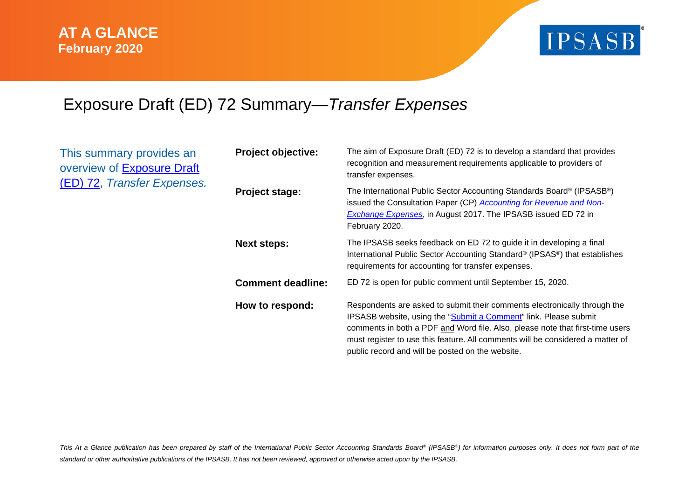

# Exposure Draft (ED) 72 Summary—*Transfer Expenses*

| This summary provides an<br>overview of Exposure Draft<br>(ED) 72, Transfer Expenses. | <b>Project objective:</b> | The aim of Exposure Draft (ED) 72 is to develop a standard that provides<br>recognition and measurement requirements applicable to providers of<br>transfer expenses.                                                                                                                                                                                                |  |  |  |  |
|---------------------------------------------------------------------------------------|---------------------------|----------------------------------------------------------------------------------------------------------------------------------------------------------------------------------------------------------------------------------------------------------------------------------------------------------------------------------------------------------------------|--|--|--|--|
|                                                                                       | Project stage:            | The International Public Sector Accounting Standards Board® (IPSASB®)<br>issued the Consultation Paper (CP) Accounting for Revenue and Non-<br>Exchange Expenses, in August 2017. The IPSASB issued ED 72 in<br>February 2020.                                                                                                                                       |  |  |  |  |
|                                                                                       | <b>Next steps:</b>        | The IPSASB seeks feedback on ED 72 to guide it in developing a final<br>International Public Sector Accounting Standard <sup>®</sup> (IPSAS <sup>®</sup> ) that establishes<br>requirements for accounting for transfer expenses.                                                                                                                                    |  |  |  |  |
|                                                                                       | <b>Comment deadline:</b>  | ED 72 is open for public comment until September 15, 2020.                                                                                                                                                                                                                                                                                                           |  |  |  |  |
|                                                                                       | How to respond:           | Respondents are asked to submit their comments electronically through the<br>IPSASB website, using the "Submit a Comment" link. Please submit<br>comments in both a PDF and Word file. Also, please note that first-time users<br>must register to use this feature. All comments will be considered a matter of<br>public record and will be posted on the website. |  |  |  |  |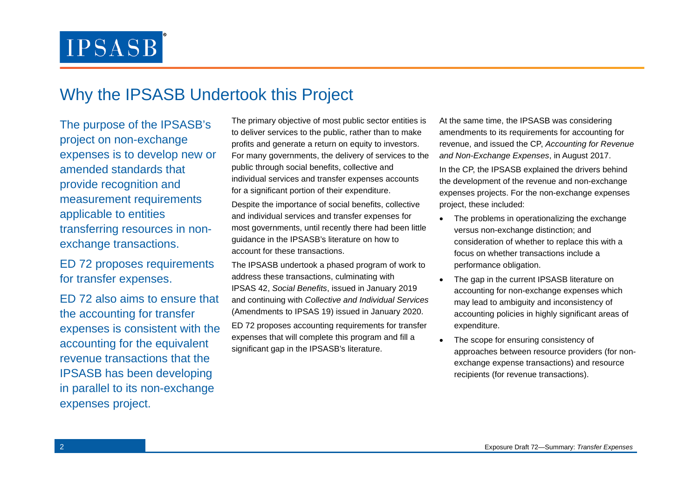### Why the IPSASB Undertook this Project

The purpose of the IPSASB's project on non-exchange expenses is to develop new or amended standards that provide recognition and measurement requirements applicable to entities transferring resources in nonexchange transactions.

ED 72 proposes requirements for transfer expenses.

ED 72 also aims to ensure that the accounting for transfer expenses is consistent with the accounting for the equivalent revenue transactions that the IPSASB has been developing in parallel to its non-exchange expenses project.

The primary objective of most public sector entities is to deliver services to the public, rather than to make profits and generate a return on equity to investors. For many governments, the delivery of services to the public through social benefits, collective and individual services and transfer expenses accounts for a significant portion of their expenditure.

Despite the importance of social benefits, collective and individual services and transfer expenses for most governments, until recently there had been little guidance in the IPSASB's literature on how to account for these transactions.

The IPSASB undertook a phased program of work to address these transactions, culminating with IPSAS 42, *Social Benefits*, issued in January 2019 and continuing with *Collective and Individual Services* (Amendments to IPSAS 19) issued in January 2020. ED 72 proposes accounting requirements for transfer expenses that will complete this program and fill a significant gap in the IPSASB's literature.

At the same time, the IPSASB was considering amendments to its requirements for accounting for revenue, and issued the CP, *Accounting for Revenue and Non-Exchange Expenses*, in August 2017.

In the CP, the IPSASB explained the drivers behind the development of the revenue and non-exchange expenses projects. For the non-exchange expenses project, these included:

- The problems in operationalizing the exchange versus non-exchange distinction; and consideration of whether to replace this with a focus on whether transactions include a performance obligation.
- The gap in the current IPSASB literature on accounting for non-exchange expenses which may lead to ambiguity and inconsistency of accounting policies in highly significant areas of expenditure.
- The scope for ensuring consistency of approaches between resource providers (for nonexchange expense transactions) and resource recipients (for revenue transactions).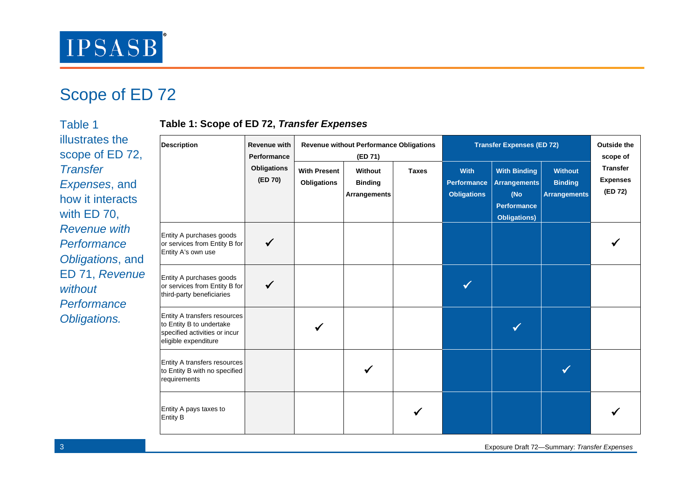

## Scope of ED 72

Table 1 illustrates the scope of ED 72, *Transfer Expenses*, and how it interacts with ED 70, *Revenue with Performance Obligations*, and ED 71, *Revenue without Performance Obligations.*

### **Table 1: Scope of ED 72,** *Transfer Expenses*

| <b>Description</b>                                                                                                | <b>Revenue with</b><br>Performance | <b>Revenue without Performance Obligations</b><br>(ED 71) |                                           |              | <b>Transfer Expenses (ED 72)</b>                        |                                                                                                |                                                         | <b>Outside the</b><br>scope of                |
|-------------------------------------------------------------------------------------------------------------------|------------------------------------|-----------------------------------------------------------|-------------------------------------------|--------------|---------------------------------------------------------|------------------------------------------------------------------------------------------------|---------------------------------------------------------|-----------------------------------------------|
|                                                                                                                   | <b>Obligations</b><br>(ED 70)      | <b>With Present</b><br><b>Obligations</b>                 | Without<br><b>Binding</b><br>Arrangements | <b>Taxes</b> | <b>With</b><br><b>Performance</b><br><b>Obligations</b> | <b>With Binding</b><br><b>Arrangements</b><br>(No<br><b>Performance</b><br><b>Obligations)</b> | <b>Without</b><br><b>Binding</b><br><b>Arrangements</b> | <b>Transfer</b><br><b>Expenses</b><br>(ED 72) |
| Entity A purchases goods<br>or services from Entity B for<br>Entity A's own use                                   |                                    |                                                           |                                           |              |                                                         |                                                                                                |                                                         |                                               |
| Entity A purchases goods<br>or services from Entity B for<br>third-party beneficiaries                            |                                    |                                                           |                                           |              |                                                         |                                                                                                |                                                         |                                               |
| Entity A transfers resources<br>to Entity B to undertake<br>specified activities or incur<br>eligible expenditure |                                    |                                                           |                                           |              |                                                         |                                                                                                |                                                         |                                               |
| Entity A transfers resources<br>to Entity B with no specified<br>requirements                                     |                                    |                                                           |                                           |              |                                                         |                                                                                                |                                                         |                                               |
| Entity A pays taxes to<br>Entity B                                                                                |                                    |                                                           |                                           |              |                                                         |                                                                                                |                                                         |                                               |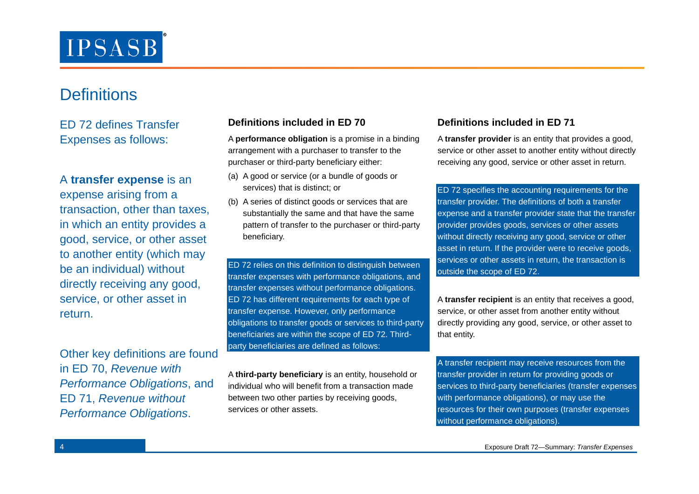# **Definitions**

ED 72 defines Transfer Expenses as follows:

A **transfer expense** is an expense arising from a transaction, other than taxes, in which an entity provides a good, service, or other asset to another entity (which may be an individual) without directly receiving any good, service, or other asset in return.

Other key definitions are found in ED 70, *Revenue with Performance Obligations*, and ED 71, *Revenue without Performance Obligations*.

A **performance obligation** is a promise in a binding arrangement with a purchaser to transfer to the purchaser or third-party beneficiary either:

- (a) A good or service (or a bundle of goods or services) that is distinct; or
- (b) A series of distinct goods or services that are substantially the same and that have the same pattern of transfer to the purchaser or third-party beneficiary.

ED 72 relies on this definition to distinguish between transfer expenses with performance obligations, and transfer expenses without performance obligations. ED 72 has different requirements for each type of transfer expense. However, only performance obligations to transfer goods or services to third-party beneficiaries are within the scope of ED 72. Thirdparty beneficiaries are defined as follows:

A **third-party beneficiary** is an entity, household or individual who will benefit from a transaction made between two other parties by receiving goods, services or other assets.

### **Definitions included in ED 70 Definitions included in ED 71**

A **transfer provider** is an entity that provides a good, service or other asset to another entity without directly receiving any good, service or other asset in return.

ED 72 specifies the accounting requirements for the transfer provider. The definitions of both a transfer expense and a transfer provider state that the transfer provider provides goods, services or other assets without directly receiving any good, service or other asset in return. If the provider were to receive goods, services or other assets in return, the transaction is outside the scope of ED 72.

A **transfer recipient** is an entity that receives a good, service, or other asset from another entity without directly providing any good, service, or other asset to that entity.

A transfer recipient may receive resources from the transfer provider in return for providing goods or services to third-party beneficiaries (transfer expenses with performance obligations), or may use the resources for their own purposes (transfer expenses without performance obligations).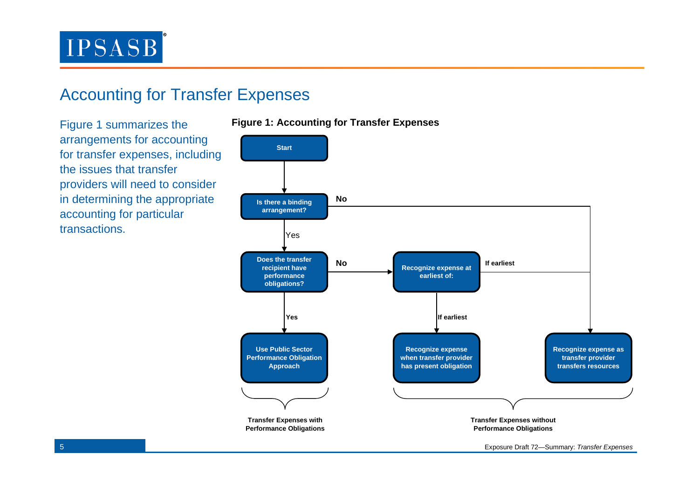## Accounting for Transfer Expenses

Figure 1 summarizes the arrangements for accounting for transfer expenses, including the issues that transfer providers will need to consider in determining the appropriate accounting for particular transactions.



**Figure 1: Accounting for Transfer Expenses**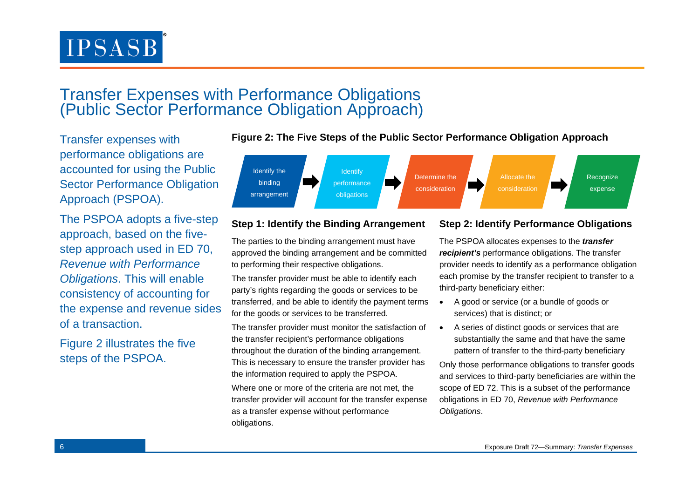### Transfer Expenses with Performance Obligations (Public Sector Performance Obligation Approach)

Transfer expenses with performance obligations are accounted for using the Public Sector Performance Obligation Approach (PSPOA).

The PSPOA adopts a five-step approach, based on the fivestep approach used in ED 70, *Revenue with Performance Obligations*. This will enable consistency of accounting for the expense and revenue sides of a transaction.

Figure 2 illustrates the five steps of the PSPOA.



**Figure 2: The Five Steps of the Public Sector Performance Obligation Approach**

### **Step 1: Identify the Binding Arrangement**

The parties to the binding arrangement must have approved the binding arrangement and be committed to performing their respective obligations.

The transfer provider must be able to identify each party's rights regarding the goods or services to be transferred, and be able to identify the payment terms for the goods or services to be transferred.

The transfer provider must monitor the satisfaction of the transfer recipient's performance obligations throughout the duration of the binding arrangement. This is necessary to ensure the transfer provider has the information required to apply the PSPOA.

Where one or more of the criteria are not met, the transfer provider will account for the transfer expense as a transfer expense without performance obligations.

#### **Step 2: Identify Performance Obligations**

The PSPOA allocates expenses to the *transfer recipient's* performance obligations. The transfer provider needs to identify as a performance obligation each promise by the transfer recipient to transfer to a third-party beneficiary either:

- A good or service (or a bundle of goods or services) that is distinct; or
- A series of distinct goods or services that are substantially the same and that have the same pattern of transfer to the third-party beneficiary

Only those performance obligations to transfer goods and services to third-party beneficiaries are within the scope of ED 72. This is a subset of the performance obligations in ED 70, *Revenue with Performance Obligations*.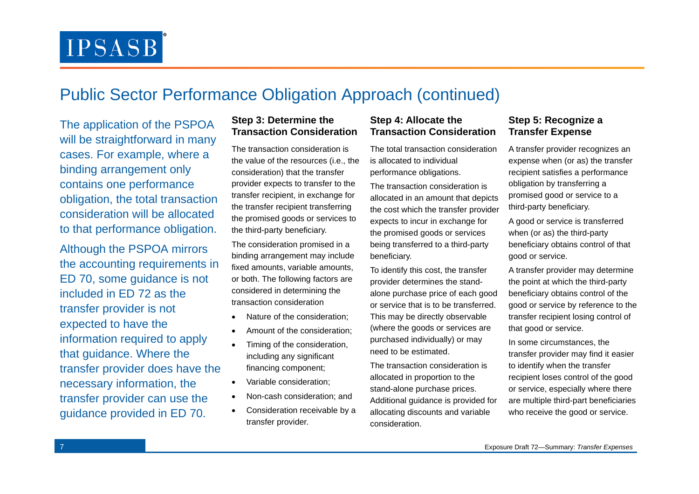## Public Sector Performance Obligation Approach (continued)

The application of the PSPOA will be straightforward in many cases. For example, where a binding arrangement only contains one performance obligation, the total transaction consideration will be allocated to that performance obligation.

Although the PSPOA mirrors the accounting requirements in ED 70, some guidance is not included in ED 72 as the transfer provider is not expected to have the information required to apply that guidance. Where the transfer provider does have the necessary information, the transfer provider can use the guidance provided in ED 70.

### **Step 3: Determine the Transaction Consideration**

The transaction consideration is the value of the resources (i.e., the consideration) that the transfer provider expects to transfer to the transfer recipient, in exchange for the transfer recipient transferring the promised goods or services to the third-party beneficiary.

The consideration promised in a binding arrangement may include fixed amounts, variable amounts, or both. The following factors are considered in determining the transaction consideration

- Nature of the consideration;
- Amount of the consideration;
- Timing of the consideration, including any significant financing component;
- Variable consideration;
- Non-cash consideration; and
- Consideration receivable by a transfer provider.

### **Step 4: Allocate the Transaction Consideration**

The total transaction consideration is allocated to individual performance obligations.

The transaction consideration is allocated in an amount that depicts the cost which the transfer provider expects to incur in exchange for the promised goods or services being transferred to a third-party beneficiary.

To identify this cost, the transfer provider determines the standalone purchase price of each good or service that is to be transferred. This may be directly observable (where the goods or services are purchased individually) or may need to be estimated.

The transaction consideration is allocated in proportion to the stand-alone purchase prices. Additional guidance is provided for allocating discounts and variable consideration.

### **Step 5: Recognize a Transfer Expense**

A transfer provider recognizes an expense when (or as) the transfer recipient satisfies a performance obligation by transferring a promised good or service to a third-party beneficiary.

A good or service is transferred when (or as) the third-party beneficiary obtains control of that good or service.

A transfer provider may determine the point at which the third-party beneficiary obtains control of the good or service by reference to the transfer recipient losing control of that good or service.

In some circumstances, the transfer provider may find it easier to identify when the transfer recipient loses control of the good or service, especially where there are multiple third-part beneficiaries who receive the good or service.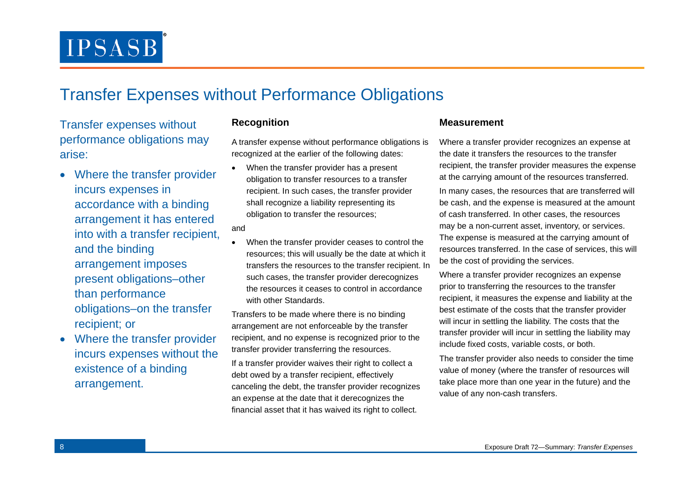### Transfer Expenses without Performance Obligations

Transfer expenses without performance obligations may arise:

- Where the transfer provider incurs expenses in accordance with a binding arrangement it has entered into with a transfer recipient, and the binding arrangement imposes present obligations–other than performance obligations–on the transfer recipient; or
- Where the transfer provider incurs expenses without the existence of a binding arrangement.

A transfer expense without performance obligations is recognized at the earlier of the following dates:

• When the transfer provider has a present obligation to transfer resources to a transfer recipient. In such cases, the transfer provider shall recognize a liability representing its obligation to transfer the resources;

and

• When the transfer provider ceases to control the resources; this will usually be the date at which it transfers the resources to the transfer recipient. In such cases, the transfer provider derecognizes the resources it ceases to control in accordance with other Standards.

Transfers to be made where there is no binding arrangement are not enforceable by the transfer recipient, and no expense is recognized prior to the transfer provider transferring the resources.

If a transfer provider waives their right to collect a debt owed by a transfer recipient, effectively canceling the debt, the transfer provider recognizes an expense at the date that it derecognizes the financial asset that it has waived its right to collect.

#### **Recognition Measurement**

Where a transfer provider recognizes an expense at the date it transfers the resources to the transfer recipient, the transfer provider measures the expense at the carrying amount of the resources transferred.

In many cases, the resources that are transferred will be cash, and the expense is measured at the amount of cash transferred. In other cases, the resources may be a non-current asset, inventory, or services. The expense is measured at the carrying amount of resources transferred. In the case of services, this will be the cost of providing the services.

Where a transfer provider recognizes an expense prior to transferring the resources to the transfer recipient, it measures the expense and liability at the best estimate of the costs that the transfer provider will incur in settling the liability. The costs that the transfer provider will incur in settling the liability may include fixed costs, variable costs, or both.

The transfer provider also needs to consider the time value of money (where the transfer of resources will take place more than one year in the future) and the value of any non-cash transfers.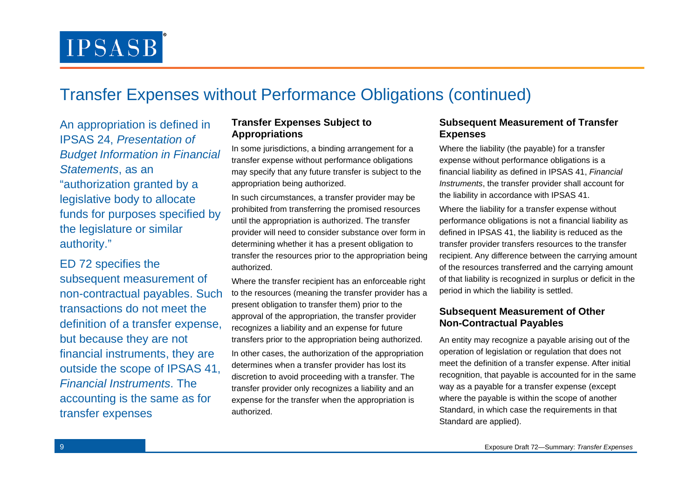## Transfer Expenses without Performance Obligations (continued)

An appropriation is defined in IPSAS 24, *Presentation of Budget Information in Financial Statements*, as an "authorization granted by a legislative body to allocate funds for purposes specified by the legislature or similar authority."

ED 72 specifies the subsequent measurement of non-contractual payables. Such transactions do not meet the definition of a transfer expense, but because they are not financial instruments, they are outside the scope of IPSAS 41, *Financial Instruments*. The accounting is the same as for transfer expenses

#### **Transfer Expenses Subject to Appropriations**

In some jurisdictions, a binding arrangement for a transfer expense without performance obligations may specify that any future transfer is subject to the appropriation being authorized.

In such circumstances, a transfer provider may be prohibited from transferring the promised resources until the appropriation is authorized. The transfer provider will need to consider substance over form in determining whether it has a present obligation to transfer the resources prior to the appropriation being authorized.

Where the transfer recipient has an enforceable right to the resources (meaning the transfer provider has a present obligation to transfer them) prior to the approval of the appropriation, the transfer provider recognizes a liability and an expense for future transfers prior to the appropriation being authorized. In other cases, the authorization of the appropriation determines when a transfer provider has lost its discretion to avoid proceeding with a transfer. The transfer provider only recognizes a liability and an expense for the transfer when the appropriation is authorized.

#### **Subsequent Measurement of Transfer Expenses**

Where the liability (the payable) for a transfer expense without performance obligations is a financial liability as defined in IPSAS 41, *Financial Instruments*, the transfer provider shall account for the liability in accordance with IPSAS 41.

Where the liability for a transfer expense without performance obligations is not a financial liability as defined in IPSAS 41, the liability is reduced as the transfer provider transfers resources to the transfer recipient. Any difference between the carrying amount of the resources transferred and the carrying amount of that liability is recognized in surplus or deficit in the period in which the liability is settled.

### **Subsequent Measurement of Other Non-Contractual Payables**

An entity may recognize a payable arising out of the operation of legislation or regulation that does not meet the definition of a transfer expense. After initial recognition, that payable is accounted for in the same way as a payable for a transfer expense (except where the payable is within the scope of another Standard, in which case the requirements in that Standard are applied).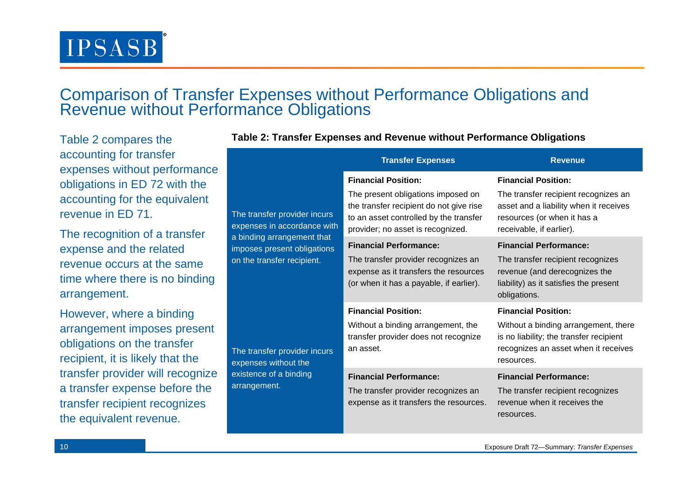### Comparison of Transfer Expenses without Performance Obligations and Revenue without Performance Obligations

Table 2 compares the accounting for transfer expenses without performance obligations in ED 72 with the accounting for the equivalent revenue in ED 71.

The recognition of a transfer expense and the related revenue occurs at the same time where there is no binding arrangement.

However, where a binding arrangement imposes present obligations on the transfer recipient, it is likely that the transfer provider will recognize a transfer expense before the transfer recipient recognizes the equivalent revenue.

|                                                                                                                                                        | <b>Transfer Expenses</b>                                                                                                                                                                   | <b>Revenue</b>                                                                                                                                                          |
|--------------------------------------------------------------------------------------------------------------------------------------------------------|--------------------------------------------------------------------------------------------------------------------------------------------------------------------------------------------|-------------------------------------------------------------------------------------------------------------------------------------------------------------------------|
| The transfer provider incurs<br>expenses in accordance with<br>a binding arrangement that<br>imposes present obligations<br>on the transfer recipient. | <b>Financial Position:</b><br>The present obligations imposed on<br>the transfer recipient do not give rise<br>to an asset controlled by the transfer<br>provider; no asset is recognized. | <b>Financial Position:</b><br>The transfer recipient recognizes an<br>asset and a liability when it receives<br>resources (or when it has a<br>receivable, if earlier). |
|                                                                                                                                                        | <b>Financial Performance:</b><br>The transfer provider recognizes an<br>expense as it transfers the resources<br>(or when it has a payable, if earlier).                                   | <b>Financial Performance:</b><br>The transfer recipient recognizes<br>revenue (and derecognizes the<br>liability) as it satisfies the present<br>obligations.           |
| The transfer provider incurs<br>expenses without the<br>existence of a binding<br>arrangement.                                                         | <b>Financial Position:</b><br>Without a binding arrangement, the<br>transfer provider does not recognize<br>an asset.                                                                      | <b>Financial Position:</b><br>Without a binding arrangement, there<br>is no liability; the transfer recipient<br>recognizes an asset when it receives<br>resources.     |
|                                                                                                                                                        | <b>Financial Performance:</b><br>The transfer provider recognizes an<br>expense as it transfers the resources.                                                                             | <b>Financial Performance:</b><br>The transfer recipient recognizes<br>revenue when it receives the<br>resources.                                                        |

#### **Table 2: Transfer Expenses and Revenue without Performance Obligations**